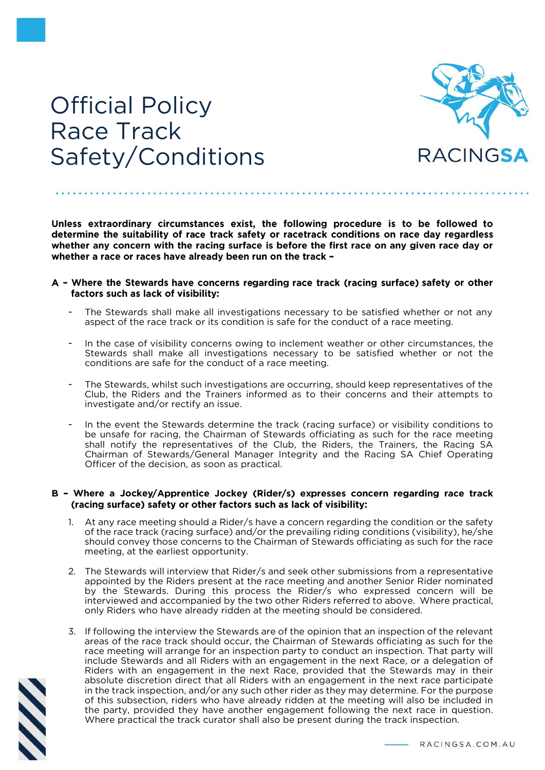

## Official Policy Race Track Safety/Conditions

Unless extraordinary circumstances exist, the following procedure is to be followed to determine the suitability of race track safety or racetrack conditions on race day regardless whether any concern with the racing surface is before the first race on any given race day or whether a race or races have already been run on the track -

## A - Where the Stewards have concerns regarding race track (racing surface) safety or other factors such as lack of visibility:

- The Stewards shall make all investigations necessary to be satisfied whether or not any aspect of the race track or its condition is safe for the conduct of a race meeting.
- In the case of visibility concerns owing to inclement weather or other circumstances, the Stewards shall make all investigations necessary to be satisfied whether or not the conditions are safe for the conduct of a race meeting.
- The Stewards, whilst such investigations are occurring, should keep representatives of the Club, the Riders and the Trainers informed as to their concerns and their attempts to investigate and/or rectify an issue.
- In the event the Stewards determine the track (racing surface) or visibility conditions to be unsafe for racing, the Chairman of Stewards officiating as such for the race meeting shall notify the representatives of the Club, the Riders, the Trainers, the Racing SA Chairman of Stewards/General Manager Integrity and the Racing SA Chief Operating Officer of the decision, as soon as practical.

## B - Where a Jockey/Apprentice Jockey (Rider/s) expresses concern regarding race track (racing surface) safety or other factors such as lack of visibility:

- 1. At any race meeting should a Rider/s have a concern regarding the condition or the safety of the race track (racing surface) and/or the prevailing riding conditions (visibility), he/she should convey those concerns to the Chairman of Stewards officiating as such for the race meeting, at the earliest opportunity.
- 2. The Stewards will interview that Rider/s and seek other submissions from a representative appointed by the Riders present at the race meeting and another Senior Rider nominated by the Stewards. During this process the Rider/s who expressed concern will be interviewed and accompanied by the two other Riders referred to above. Where practical, only Riders who have already ridden at the meeting should be considered.
- 3. If following the interview the Stewards are of the opinion that an inspection of the relevant areas of the race track should occur, the Chairman of Stewards officiating as such for the race meeting will arrange for an inspection party to conduct an inspection. That party will include Stewards and all Riders with an engagement in the next Race, or a delegation of Riders with an engagement in the next Race, provided that the Stewards may in their absolute discretion direct that all Riders with an engagement in the next race participate in the track inspection, and/or any such other rider as they may determine. For the purpose of this subsection, riders who have already ridden at the meeting will also be included in the party, provided they have another engagement following the next race in question. Where practical the track curator shall also be present during the track inspection.

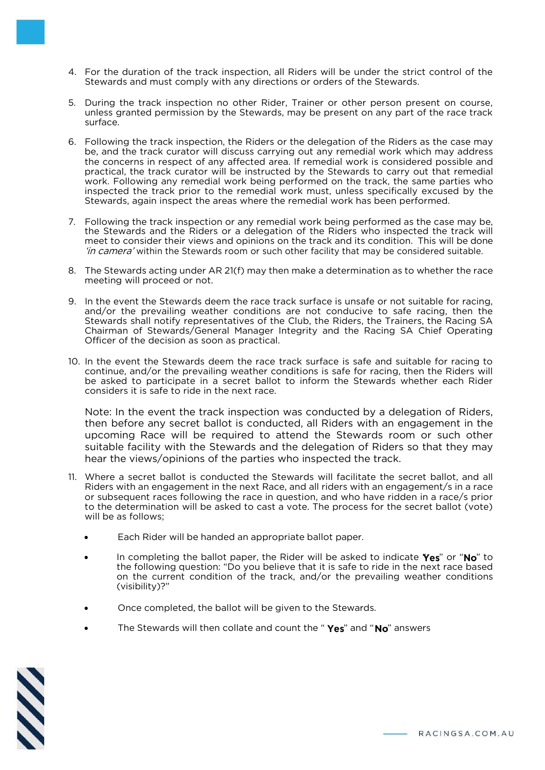- 4. For the duration of the track inspection, all Riders will be under the strict control of the Stewards and must comply with any directions or orders of the Stewards.
- 5. During the track inspection no other Rider, Trainer or other person present on course, unless granted permission by the Stewards, may be present on any part of the race track surface.
- 6. Following the track inspection, the Riders or the delegation of the Riders as the case may be, and the track curator will discuss carrying out any remedial work which may address the concerns in respect of any affected area. If remedial work is considered possible and practical, the track curator will be instructed by the Stewards to carry out that remedial work. Following any remedial work being performed on the track, the same parties who inspected the track prior to the remedial work must, unless specifically excused by the Stewards, again inspect the areas where the remedial work has been performed.
- 7. Following the track inspection or any remedial work being performed as the case may be, the Stewards and the Riders or a delegation of the Riders who inspected the track will meet to consider their views and opinions on the track and its condition. This will be done in camera' within the Stewards room or such other facility that may be considered suitable.
- 8. The Stewards acting under AR 21(f) may then make a determination as to whether the race meeting will proceed or not.
- 9. In the event the Stewards deem the race track surface is unsafe or not suitable for racing, and/or the prevailing weather conditions are not conducive to safe racing, then the Stewards shall notify representatives of the Club, the Riders, the Trainers, the Racing SA Chairman of Stewards/General Manager Integrity and the Racing SA Chief Operating Officer of the decision as soon as practical.
- 10. In the event the Stewards deem the race track surface is safe and suitable for racing to continue, and/or the prevailing weather conditions is safe for racing, then the Riders will be asked to participate in a secret ballot to inform the Stewards whether each Rider considers it is safe to ride in the next race.

Note: In the event the track inspection was conducted by a delegation of Riders, then before any secret ballot is conducted, all Riders with an engagement in the upcoming Race will be required to attend the Stewards room or such other suitable facility with the Stewards and the delegation of Riders so that they may hear the views/opinions of the parties who inspected the track.

- 11. Where a secret ballot is conducted the Stewards will facilitate the secret ballot, and all Riders with an engagement in the next Race, and all riders with an engagement/s in a race or subsequent races following the race in question, and who have ridden in a race/s prior to the determination will be asked to cast a vote. The process for the secret ballot (vote) will be as follows;
	- Each Rider will be handed an appropriate ballot paper.
	- In completing the ballot paper, the Rider will be asked to indicate  $\gamma_{es}$ " or "No" to the following question: "Do you believe that it is safe to ride in the next race based on the current condition of the track, and/or the prevailing weather conditions (visibility)?"
	- Once completed, the ballot will be given to the Stewards.
	- The Stewards will then collate and count the "Yes" and "No" answers